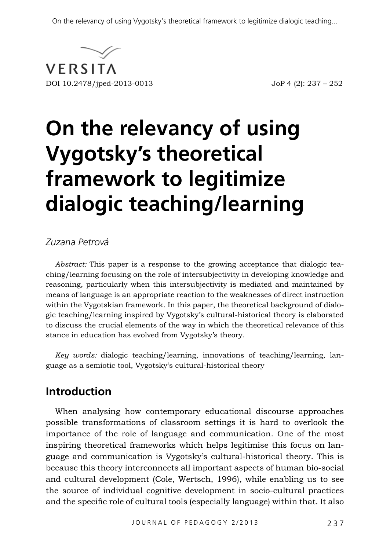

# **On the relevancy of using Vygotsky's theoretical framework to legitimize dialogic teaching/learning**

#### *Zuzana Petrová*

*Abstract:* This paper is a response to the growing acceptance that dialogic teaching/learning focusing on the role of intersubjectivity in developing knowledge and reasoning, particularly when this intersubjectivity is mediated and maintained by means of language is an appropriate reaction to the weaknesses of direct instruction within the Vygotskian framework. In this paper, the theoretical background of dialogic teaching/learning inspired by Vygotsky's cultural-historical theory is elaborated to discuss the crucial elements of the way in which the theoretical relevance of this stance in education has evolved from Vygotsky's theory.

*Key words:* dialogic teaching/learning, innovations of teaching/learning, language as a semiotic tool, Vygotsky's cultural-historical theory

## **Introduction**

When analysing how contemporary educational discourse approaches possible transformations of classroom settings it is hard to overlook the importance of the role of language and communication. One of the most inspiring theoretical frameworks which helps legitimise this focus on language and communication is Vygotsky's cultural-historical theory. This is because this theory interconnects all important aspects of human bio-social and cultural development (Cole, Wertsch, 1996), while enabling us to see the source of individual cognitive development in socio-cultural practices and the specific role of cultural tools (especially language) within that. It also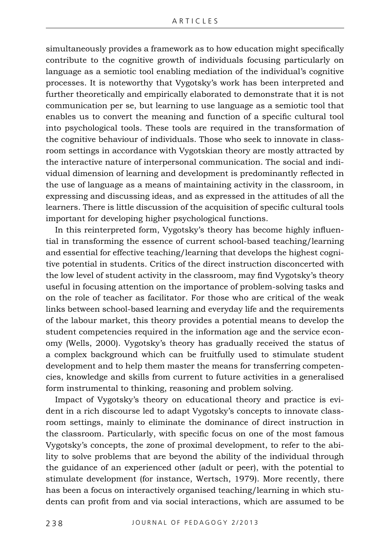simultaneously provides a framework as to how education might specifically contribute to the cognitive growth of individuals focusing particularly on language as a semiotic tool enabling mediation of the individual's cognitive processes. It is noteworthy that Vygotsky's work has been interpreted and further theoretically and empirically elaborated to demonstrate that it is not communication per se, but learning to use language as a semiotic tool that enables us to convert the meaning and function of a specific cultural tool into psychological tools. These tools are required in the transformation of the cognitive behaviour of individuals. Those who seek to innovate in classroom settings in accordance with Vygotskian theory are mostly attracted by the interactive nature of interpersonal communication. The social and individual dimension of learning and development is predominantly reflected in the use of language as a means of maintaining activity in the classroom, in expressing and discussing ideas, and as expressed in the attitudes of all the learners. There is little discussion of the acquisition of specific cultural tools important for developing higher psychological functions.

In this reinterpreted form, Vygotsky's theory has become highly influential in transforming the essence of current school-based teaching/learning and essential for effective teaching/learning that develops the highest cognitive potential in students. Critics of the direct instruction disconcerted with the low level of student activity in the classroom, may find Vygotsky's theory useful in focusing attention on the importance of problem-solving tasks and on the role of teacher as facilitator. For those who are critical of the weak links between school-based learning and everyday life and the requirements of the labour market, this theory provides a potential means to develop the student competencies required in the information age and the service economy (Wells, 2000). Vygotsky's theory has gradually received the status of a complex background which can be fruitfully used to stimulate student development and to help them master the means for transferring competencies, knowledge and skills from current to future activities in a generalised form instrumental to thinking, reasoning and problem solving.

Impact of Vygotsky's theory on educational theory and practice is evident in a rich discourse led to adapt Vygotsky's concepts to innovate classroom settings, mainly to eliminate the dominance of direct instruction in the classroom. Particularly, with specific focus on one of the most famous Vygotsky's concepts, the zone of proximal development, to refer to the ability to solve problems that are beyond the ability of the individual through the guidance of an experienced other (adult or peer), with the potential to stimulate development (for instance, Wertsch, 1979). More recently, there has been a focus on interactively organised teaching/learning in which students can profit from and via social interactions, which are assumed to be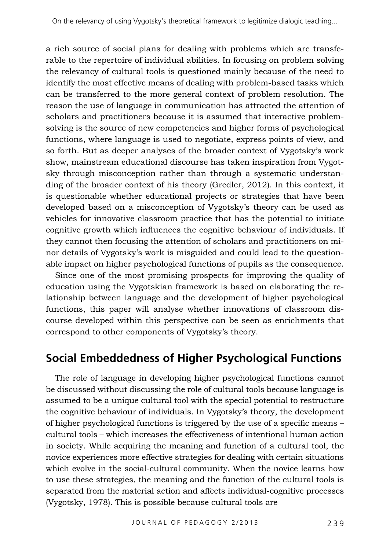a rich source of social plans for dealing with problems which are transferable to the repertoire of individual abilities. In focusing on problem solving the relevancy of cultural tools is questioned mainly because of the need to identify the most effective means of dealing with problem-based tasks which can be transferred to the more general context of problem resolution. The reason the use of language in communication has attracted the attention of scholars and practitioners because it is assumed that interactive problemsolving is the source of new competencies and higher forms of psychological functions, where language is used to negotiate, express points of view, and so forth. But as deeper analyses of the broader context of Vygotsky's work show, mainstream educational discourse has taken inspiration from Vygotsky through misconception rather than through a systematic understanding of the broader context of his theory (Gredler, 2012). In this context, it is questionable whether educational projects or strategies that have been developed based on a misconception of Vygotsky's theory can be used as vehicles for innovative classroom practice that has the potential to initiate cognitive growth which influences the cognitive behaviour of individuals. If they cannot then focusing the attention of scholars and practitioners on minor details of Vygotsky's work is misguided and could lead to the questionable impact on higher psychological functions of pupils as the consequence.

Since one of the most promising prospects for improving the quality of education using the Vygotskian framework is based on elaborating the relationship between language and the development of higher psychological functions, this paper will analyse whether innovations of classroom discourse developed within this perspective can be seen as enrichments that correspond to other components of Vygotsky's theory.

## **Social Embeddedness of Higher Psychological Functions**

The role of language in developing higher psychological functions cannot be discussed without discussing the role of cultural tools because language is assumed to be a unique cultural tool with the special potential to restructure the cognitive behaviour of individuals. In Vygotsky's theory, the development of higher psychological functions is triggered by the use of a specific means – cultural tools – which increases the effectiveness of intentional human action in society. While acquiring the meaning and function of a cultural tool, the novice experiences more effective strategies for dealing with certain situations which evolve in the social-cultural community. When the novice learns how to use these strategies, the meaning and the function of the cultural tools is separated from the material action and affects individual-cognitive processes (Vygotsky, 1978). This is possible because cultural tools are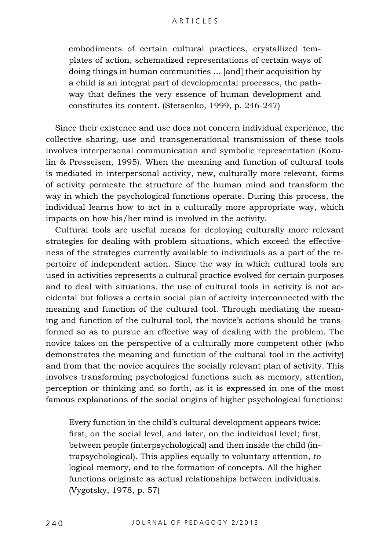embodiments of certain cultural practices, crystallized templates of action, schematized representations of certain ways of doing things in human communities … [and] their acquisition by a child is an integral part of developmental processes, the pathway that defines the very essence of human development and constitutes its content. (Stetsenko, 1999, p. 246-247)

Since their existence and use does not concern individual experience, the collective sharing, use and transgenerational transmission of these tools involves interpersonal communication and symbolic representation (Kozulin & Presseisen, 1995). When the meaning and function of cultural tools is mediated in interpersonal activity, new, culturally more relevant, forms of activity permeate the structure of the human mind and transform the way in which the psychological functions operate. During this process, the individual learns how to act in a culturally more appropriate way, which impacts on how his/her mind is involved in the activity.

Cultural tools are useful means for deploying culturally more relevant strategies for dealing with problem situations, which exceed the effectiveness of the strategies currently available to individuals as a part of the repertoire of independent action. Since the way in which cultural tools are used in activities represents a cultural practice evolved for certain purposes and to deal with situations, the use of cultural tools in activity is not accidental but follows a certain social plan of activity interconnected with the meaning and function of the cultural tool. Through mediating the meaning and function of the cultural tool, the novice's actions should be transformed so as to pursue an effective way of dealing with the problem. The novice takes on the perspective of a culturally more competent other (who demonstrates the meaning and function of the cultural tool in the activity) and from that the novice acquires the socially relevant plan of activity. This involves transforming psychological functions such as memory, attention, perception or thinking and so forth, as it is expressed in one of the most famous explanations of the social origins of higher psychological functions:

Every function in the child's cultural development appears twice: first, on the social level, and later, on the individual level; first, between people (interpsychological) and then inside the child (intrapsychological). This applies equally to voluntary attention, to logical memory, and to the formation of concepts. All the higher functions originate as actual relationships between individuals. (Vygotsky, 1978, p. 57)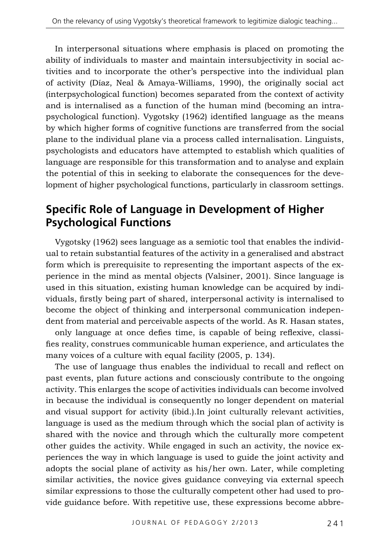In interpersonal situations where emphasis is placed on promoting the ability of individuals to master and maintain intersubjectivity in social activities and to incorporate the other's perspective into the individual plan of activity (Díaz, Neal & Amaya-Williams, 1990), the originally social act (interpsychological function) becomes separated from the context of activity and is internalised as a function of the human mind (becoming an intrapsychological function). Vygotsky (1962) identified language as the means by which higher forms of cognitive functions are transferred from the social plane to the individual plane via a process called internalisation. Linguists, psychologists and educators have attempted to establish which qualities of language are responsible for this transformation and to analyse and explain the potential of this in seeking to elaborate the consequences for the development of higher psychological functions, particularly in classroom settings.

## **Specific Role of Language in Development of Higher Psychological Functions**

Vygotsky (1962) sees language as a semiotic tool that enables the individual to retain substantial features of the activity in a generalised and abstract form which is prerequisite to representing the important aspects of the experience in the mind as mental objects (Valsiner, 2001). Since language is used in this situation, existing human knowledge can be acquired by individuals, firstly being part of shared, interpersonal activity is internalised to become the object of thinking and interpersonal communication independent from material and perceivable aspects of the world. As R. Hasan states,

only language at once defies time, is capable of being reflexive, classifies reality, construes communicable human experience, and articulates the many voices of a culture with equal facility (2005, p*.* 134).

The use of language thus enables the individual to recall and reflect on past events, plan future actions and consciously contribute to the ongoing activity. This enlarges the scope of activities individuals can become involved in because the individual is consequently no longer dependent on material and visual support for activity (ibid.).In joint culturally relevant activities, language is used as the medium through which the social plan of activity is shared with the novice and through which the culturally more competent other guides the activity. While engaged in such an activity, the novice experiences the way in which language is used to guide the joint activity and adopts the social plane of activity as his/her own. Later, while completing similar activities, the novice gives guidance conveying via external speech similar expressions to those the culturally competent other had used to provide guidance before. With repetitive use, these expressions become abbre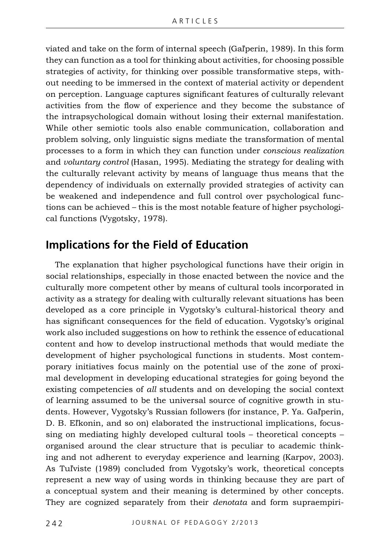viated and take on the form of internal speech (Gaľperin, 1989). In this form they can function as a tool for thinking about activities, for choosing possible strategies of activity, for thinking over possible transformative steps, without needing to be immersed in the context of material activity or dependent on perception. Language captures significant features of culturally relevant activities from the flow of experience and they become the substance of the intrapsychological domain without losing their external manifestation. While other semiotic tools also enable communication, collaboration and problem solving, only linguistic signs mediate the transformation of mental processes to a form in which they can function under *conscious realization*  and *voluntary control* (Hasan, 1995). Mediating the strategy for dealing with the culturally relevant activity by means of language thus means that the dependency of individuals on externally provided strategies of activity can be weakened and independence and full control over psychological functions can be achieved – this is the most notable feature of higher psychological functions (Vygotsky, 1978).

#### **Implications for the Field of Education**

The explanation that higher psychological functions have their origin in social relationships, especially in those enacted between the novice and the culturally more competent other by means of cultural tools incorporated in activity as a strategy for dealing with culturally relevant situations has been developed as a core principle in Vygotsky's cultural-historical theory and has significant consequences for the field of education. Vygotsky's original work also included suggestions on how to rethink the essence of educational content and how to develop instructional methods that would mediate the development of higher psychological functions in students. Most contemporary initiatives focus mainly on the potential use of the zone of proximal development in developing educational strategies for going beyond the existing competencies of *all* students and on developing the social context of learning assumed to be the universal source of cognitive growth in students. However, Vygotsky's Russian followers (for instance, P. Ya. Gaľperin, D. B. Eľkonin, and so on) elaborated the instructional implications, focussing on mediating highly developed cultural tools – theoretical concepts – organised around the clear structure that is peculiar to academic thinking and not adherent to everyday experience and learning (Karpov, 2003). As Tuľviste (1989) concluded from Vygotsky's work, theoretical concepts represent a new way of using words in thinking because they are part of a conceptual system and their meaning is determined by other concepts. They are cognized separately from their *denotata* and form supraempiri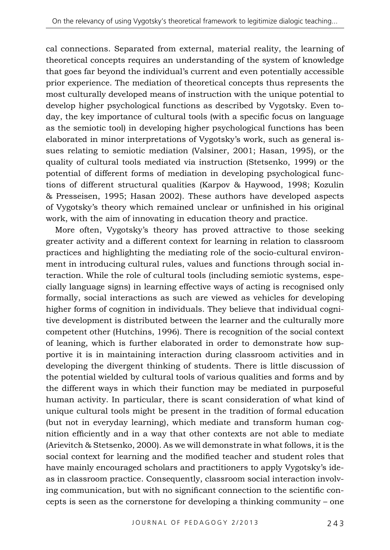cal connections. Separated from external, material reality, the learning of theoretical concepts requires an understanding of the system of knowledge that goes far beyond the individual's current and even potentially accessible prior experience. The mediation of theoretical concepts thus represents the most culturally developed means of instruction with the unique potential to develop higher psychological functions as described by Vygotsky. Even today, the key importance of cultural tools (with a specific focus on language as the semiotic tool) in developing higher psychological functions has been elaborated in minor interpretations of Vygotsky's work, such as general issues relating to semiotic mediation (Valsiner, 2001; Hasan, 1995), or the quality of cultural tools mediated via instruction (Stetsenko, 1999) or the potential of different forms of mediation in developing psychological functions of different structural qualities (Karpov & Haywood, 1998; Kozulin & Presseisen, 1995; Hasan 2002). These authors have developed aspects of Vygotsky's theory which remained unclear or unfinished in his original work, with the aim of innovating in education theory and practice.

More often, Vygotsky's theory has proved attractive to those seeking greater activity and a different context for learning in relation to classroom practices and highlighting the mediating role of the socio-cultural environment in introducing cultural rules, values and functions through social interaction. While the role of cultural tools (including semiotic systems, especially language signs) in learning effective ways of acting is recognised only formally, social interactions as such are viewed as vehicles for developing higher forms of cognition in individuals. They believe that individual cognitive development is distributed between the learner and the culturally more competent other (Hutchins, 1996). There is recognition of the social context of leaning, which is further elaborated in order to demonstrate how supportive it is in maintaining interaction during classroom activities and in developing the divergent thinking of students. There is little discussion of the potential wielded by cultural tools of various qualities and forms and by the different ways in which their function may be mediated in purposeful human activity. In particular, there is scant consideration of what kind of unique cultural tools might be present in the tradition of formal education (but not in everyday learning), which mediate and transform human cognition efficiently and in a way that other contexts are not able to mediate (Arievitch & Stetsenko, 2000). As we will demonstrate in what follows, it is the social context for learning and the modified teacher and student roles that have mainly encouraged scholars and practitioners to apply Vygotsky's ideas in classroom practice. Consequently, classroom social interaction involving communication, but with no significant connection to the scientific concepts is seen as the cornerstone for developing a thinking community – one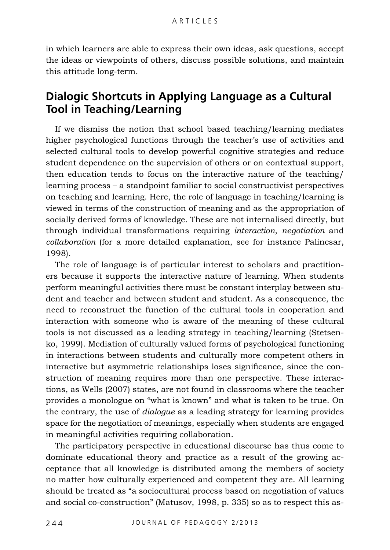in which learners are able to express their own ideas, ask questions, accept the ideas or viewpoints of others, discuss possible solutions, and maintain this attitude long-term.

#### **Dialogic Shortcuts in Applying Language as a Cultural Tool in Teaching/Learning**

If we dismiss the notion that school based teaching/learning mediates higher psychological functions through the teacher's use of activities and selected cultural tools to develop powerful cognitive strategies and reduce student dependence on the supervision of others or on contextual support, then education tends to focus on the interactive nature of the teaching/ learning process – a standpoint familiar to social constructivist perspectives on teaching and learning. Here, the role of language in teaching/learning is viewed in terms of the construction of meaning and as the appropriation of socially derived forms of knowledge. These are not internalised directly, but through individual transformations requiring *interaction*, *negotiation* and *collaboration* (for a more detailed explanation, see for instance Palincsar, 1998).

The role of language is of particular interest to scholars and practitioners because it supports the interactive nature of learning. When students perform meaningful activities there must be constant interplay between student and teacher and between student and student. As a consequence, the need to reconstruct the function of the cultural tools in cooperation and interaction with someone who is aware of the meaning of these cultural tools is not discussed as a leading strategy in teaching/learning (Stetsenko, 1999). Mediation of culturally valued forms of psychological functioning in interactions between students and culturally more competent others in interactive but asymmetric relationships loses significance, since the construction of meaning requires more than one perspective. These interactions, as Wells (2007) states, are not found in classrooms where the teacher provides a monologue on "what is known" and what is taken to be true. On the contrary, the use of *dialogue* as a leading strategy for learning provides space for the negotiation of meanings, especially when students are engaged in meaningful activities requiring collaboration.

The participatory perspective in educational discourse has thus come to dominate educational theory and practice as a result of the growing acceptance that all knowledge is distributed among the members of society no matter how culturally experienced and competent they are. All learning should be treated as "a sociocultural process based on negotiation of values and social co-construction" (Matusov, 1998, p. 335) so as to respect this as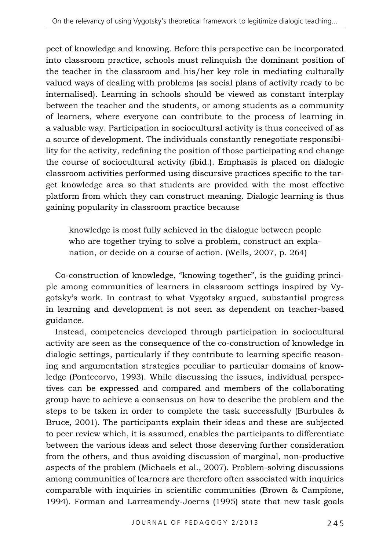pect of knowledge and knowing. Before this perspective can be incorporated into classroom practice, schools must relinquish the dominant position of the teacher in the classroom and his/her key role in mediating culturally valued ways of dealing with problems (as social plans of activity ready to be internalised). Learning in schools should be viewed as constant interplay between the teacher and the students, or among students as a community of learners, where everyone can contribute to the process of learning in a valuable way. Participation in sociocultural activity is thus conceived of as a source of development. The individuals constantly renegotiate responsibility for the activity, redefining the position of those participating and change the course of sociocultural activity (ibid.). Emphasis is placed on dialogic classroom activities performed using discursive practices specific to the target knowledge area so that students are provided with the most effective platform from which they can construct meaning. Dialogic learning is thus gaining popularity in classroom practice because

knowledge is most fully achieved in the dialogue between people who are together trying to solve a problem, construct an explanation, or decide on a course of action. (Wells, 2007, p. 264)

Co-construction of knowledge, "knowing together", is the guiding principle among communities of learners in classroom settings inspired by Vygotsky's work. In contrast to what Vygotsky argued, substantial progress in learning and development is not seen as dependent on teacher-based guidance.

Instead, competencies developed through participation in sociocultural activity are seen as the consequence of the co-construction of knowledge in dialogic settings, particularly if they contribute to learning specific reasoning and argumentation strategies peculiar to particular domains of knowledge (Pontecorvo, 1993). While discussing the issues, individual perspectives can be expressed and compared and members of the collaborating group have to achieve a consensus on how to describe the problem and the steps to be taken in order to complete the task successfully (Burbules & Bruce, 2001). The participants explain their ideas and these are subjected to peer review which, it is assumed, enables the participants to differentiate between the various ideas and select those deserving further consideration from the others, and thus avoiding discussion of marginal, non-productive aspects of the problem (Michaels et al., 2007). Problem-solving discussions among communities of learners are therefore often associated with inquiries comparable with inquiries in scientific communities (Brown & Campione, 1994). Forman and Larreamendy-Joerns (1995) state that new task goals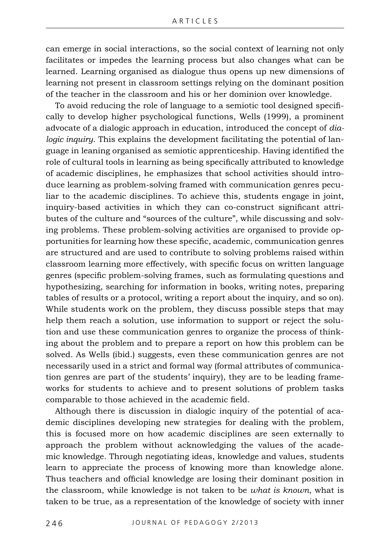can emerge in social interactions, so the social context of learning not only facilitates or impedes the learning process but also changes what can be learned. Learning organised as dialogue thus opens up new dimensions of learning not present in classroom settings relying on the dominant position of the teacher in the classroom and his or her dominion over knowledge.

To avoid reducing the role of language to a semiotic tool designed specifically to develop higher psychological functions, Wells (1999), a prominent advocate of a dialogic approach in education, introduced the concept of *dialogic inquiry*. This explains the development facilitating the potential of language in leaning organised as semiotic apprenticeship. Having identified the role of cultural tools in learning as being specifically attributed to knowledge of academic disciplines, he emphasizes that school activities should introduce learning as problem-solving framed with communication genres peculiar to the academic disciplines. To achieve this, students engage in joint, inquiry-based activities in which they can co-construct significant attributes of the culture and "sources of the culture", while discussing and solving problems. These problem-solving activities are organised to provide opportunities for learning how these specific, academic, communication genres are structured and are used to contribute to solving problems raised within classroom learning more effectively, with specific focus on written language genres (specific problem-solving frames, such as formulating questions and hypothesizing, searching for information in books, writing notes, preparing tables of results or a protocol, writing a report about the inquiry, and so on). While students work on the problem, they discuss possible steps that may help them reach a solution, use information to support or reject the solution and use these communication genres to organize the process of thinking about the problem and to prepare a report on how this problem can be solved. As Wells (ibid.) suggests, even these communication genres are not necessarily used in a strict and formal way (formal attributes of communication genres are part of the students' inquiry), they are to be leading frameworks for students to achieve and to present solutions of problem tasks comparable to those achieved in the academic field.

Although there is discussion in dialogic inquiry of the potential of academic disciplines developing new strategies for dealing with the problem, this is focused more on how academic disciplines are seen externally to approach the problem without acknowledging the values of the academic knowledge. Through negotiating ideas, knowledge and values, students learn to appreciate the process of knowing more than knowledge alone. Thus teachers and official knowledge are losing their dominant position in the classroom, while knowledge is not taken to be *what is known*, what is taken to be true, as a representation of the knowledge of society with inner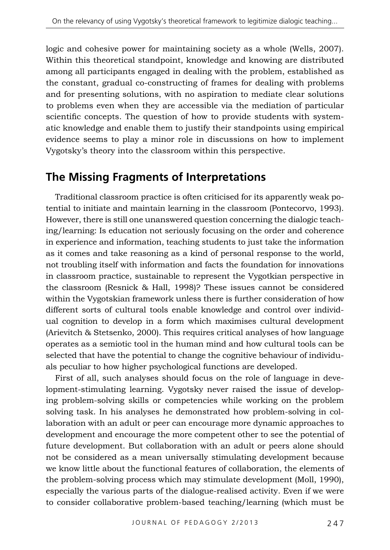logic and cohesive power for maintaining society as a whole (Wells, 2007). Within this theoretical standpoint, knowledge and knowing are distributed among all participants engaged in dealing with the problem, established as the constant, gradual co-constructing of frames for dealing with problems and for presenting solutions, with no aspiration to mediate clear solutions to problems even when they are accessible via the mediation of particular scientific concepts. The question of how to provide students with systematic knowledge and enable them to justify their standpoints using empirical evidence seems to play a minor role in discussions on how to implement Vygotsky's theory into the classroom within this perspective.

## **The Missing Fragments of Interpretations**

Traditional classroom practice is often criticised for its apparently weak potential to initiate and maintain learning in the classroom (Pontecorvo, 1993). However, there is still one unanswered question concerning the dialogic teaching/learning: Is education not seriously focusing on the order and coherence in experience and information, teaching students to just take the information as it comes and take reasoning as a kind of personal response to the world, not troubling itself with information and facts the foundation for innovations in classroom practice, sustainable to represent the Vygotkian perspective in the classroom (Resnick & Hall, 1998)? These issues cannot be considered within the Vygotskian framework unless there is further consideration of how different sorts of cultural tools enable knowledge and control over individual cognition to develop in a form which maximises cultural development (Arievitch & Stetsenko, 2000). This requires critical analyses of how language operates as a semiotic tool in the human mind and how cultural tools can be selected that have the potential to change the cognitive behaviour of individuals peculiar to how higher psychological functions are developed.

First of all, such analyses should focus on the role of language in development-stimulating learning. Vygotsky never raised the issue of developing problem-solving skills or competencies while working on the problem solving task. In his analyses he demonstrated how problem-solving in collaboration with an adult or peer can encourage more dynamic approaches to development and encourage the more competent other to see the potential of future development. But collaboration with an adult or peers alone should not be considered as a mean universally stimulating development because we know little about the functional features of collaboration, the elements of the problem-solving process which may stimulate development (Moll, 1990), especially the various parts of the dialogue-realised activity. Even if we were to consider collaborative problem-based teaching/learning (which must be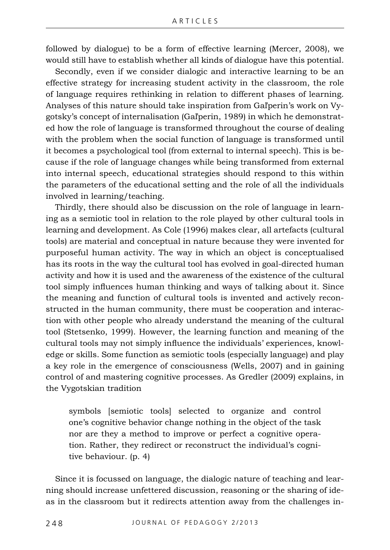followed by dialogue) to be a form of effective learning (Mercer, 2008), we would still have to establish whether all kinds of dialogue have this potential.

Secondly, even if we consider dialogic and interactive learning to be an effective strategy for increasing student activity in the classroom, the role of language requires rethinking in relation to different phases of learning. Analyses of this nature should take inspiration from Gaľperin's work on Vygotsky's concept of internalisation (Gaľperin, 1989) in which he demonstrated how the role of language is transformed throughout the course of dealing with the problem when the social function of language is transformed until it becomes a psychological tool (from external to internal speech). This is because if the role of language changes while being transformed from external into internal speech, educational strategies should respond to this within the parameters of the educational setting and the role of all the individuals involved in learning/teaching.

Thirdly, there should also be discussion on the role of language in learning as a semiotic tool in relation to the role played by other cultural tools in learning and development. As Cole (1996) makes clear, all artefacts (cultural tools) are material and conceptual in nature because they were invented for purposeful human activity. The way in which an object is conceptualised has its roots in the way the cultural tool has evolved in goal-directed human activity and how it is used and the awareness of the existence of the cultural tool simply influences human thinking and ways of talking about it. Since the meaning and function of cultural tools is invented and actively reconstructed in the human community, there must be cooperation and interaction with other people who already understand the meaning of the cultural tool (Stetsenko, 1999). However, the learning function and meaning of the cultural tools may not simply influence the individuals' experiences, knowledge or skills. Some function as semiotic tools (especially language) and play a key role in the emergence of consciousness (Wells, 2007) and in gaining control of and mastering cognitive processes. As Gredler (2009) explains, in the Vygotskian tradition

symbols [semiotic tools] selected to organize and control one's cognitive behavior change nothing in the object of the task nor are they a method to improve or perfect a cognitive operation. Rather, they redirect or reconstruct the individual's cognitive behaviour. (p. 4)

Since it is focussed on language, the dialogic nature of teaching and learning should increase unfettered discussion, reasoning or the sharing of ideas in the classroom but it redirects attention away from the challenges in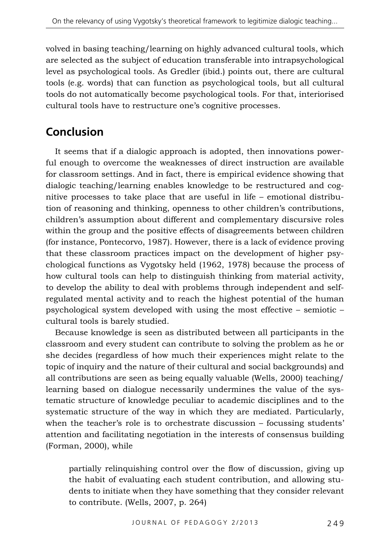volved in basing teaching/learning on highly advanced cultural tools, which are selected as the subject of education transferable into intrapsychological level as psychological tools. As Gredler (ibid.) points out, there are cultural tools (e.g. words) that can function as psychological tools, but all cultural tools do not automatically become psychological tools. For that, interiorised cultural tools have to restructure one's cognitive processes.

# **Conclusion**

It seems that if a dialogic approach is adopted, then innovations powerful enough to overcome the weaknesses of direct instruction are available for classroom settings. And in fact, there is empirical evidence showing that dialogic teaching/learning enables knowledge to be restructured and cognitive processes to take place that are useful in life – emotional distribution of reasoning and thinking, openness to other children's contributions, children's assumption about different and complementary discursive roles within the group and the positive effects of disagreements between children (for instance, Pontecorvo, 1987). However, there is a lack of evidence proving that these classroom practices impact on the development of higher psychological functions as Vygotsky held (1962, 1978) because the process of how cultural tools can help to distinguish thinking from material activity, to develop the ability to deal with problems through independent and selfregulated mental activity and to reach the highest potential of the human psychological system developed with using the most effective – semiotic – cultural tools is barely studied.

Because knowledge is seen as distributed between all participants in the classroom and every student can contribute to solving the problem as he or she decides (regardless of how much their experiences might relate to the topic of inquiry and the nature of their cultural and social backgrounds) and all contributions are seen as being equally valuable (Wells, 2000) teaching/ learning based on dialogue necessarily undermines the value of the systematic structure of knowledge peculiar to academic disciplines and to the systematic structure of the way in which they are mediated. Particularly, when the teacher's role is to orchestrate discussion – focussing students' attention and facilitating negotiation in the interests of consensus building (Forman, 2000), while

partially relinquishing control over the flow of discussion, giving up the habit of evaluating each student contribution, and allowing students to initiate when they have something that they consider relevant to contribute. (Wells, 2007, p. 264)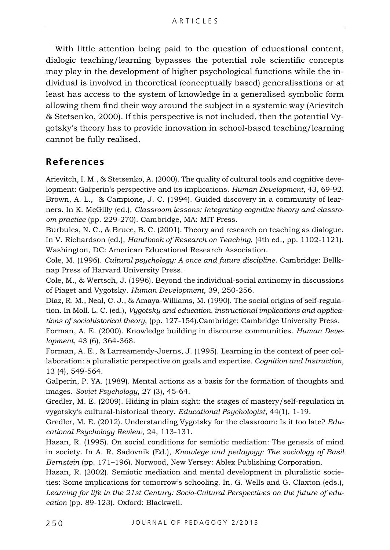With little attention being paid to the question of educational content, dialogic teaching/learning bypasses the potential role scientific concepts may play in the development of higher psychological functions while the individual is involved in theoretical (conceptually based) generalisations or at least has access to the system of knowledge in a generalised symbolic form allowing them find their way around the subject in a systemic way (Arievitch & Stetsenko, 2000). If this perspective is not included, then the potential Vygotsky's theory has to provide innovation in school-based teaching/learning cannot be fully realised.

#### **References**

Arievitch, I. M., & Stetsenko, A. (2000). The quality of cultural tools and cognitive development: Gaľperin's perspective and its implications. *Human Development*, 43, 69-92. Brown, A. L., & Campione, J. C. (1994). Guided discovery in a community of learners. In K. McGilly (ed.), *Classroom lessons: Integrating cognitive theory and classroom practice* (pp. 229-270). Cambridge, MA: MIT Press.

Burbules, N. C., & Bruce, B. C. (2001). Theory and research on teaching as dialogue. In V. Richardson (ed.), *Handbook of Research on Teaching*, (4th ed., pp. 1102-1121). Washington, DC: American Educational Research Association.

Cole, M. (1996). *Cultural psychology: A once and future discipline*. Cambridge: Bellknap Press of Harvard University Press.

Cole, M., & Wertsch, J. (1996). Beyond the individual-social antinomy in discussions of Piaget and Vygotsky. *Human Development*, 39, 250-256.

Díaz, R. M., Neal, C. J., & Amaya-Williams, M. (1990). The social origins of self-regulation. In Moll. L. C. (ed.), *Vygotsky and education. instructional implications and applications of sociohistorical theory*, (pp. 127-154).Cambridge: Cambridge University Press.

Forman, A. E. (2000). Knowledge building in discourse communities. *Human Development*, 43 (6), 364-368.

Forman, A. E., & Larreamendy-Joerns, J. (1995). Learning in the context of peer collaboration: a pluralistic perspective on goals and expertise. *Cognition and Instruction*, 13 (4), 549-564.

Gaľperin, P. YA. (1989). Mental actions as a basis for the formation of thoughts and images. *Soviet Psychology*, 27 (3), 45-64.

Gredler, M. E. (2009). Hiding in plain sight: the stages of mastery/self-regulation in vygotsky's cultural-historical theory. *Educational Psychologist*, 44(1), 1-19.

Gredler, M. E. (2012). Understanding Vygotsky for the classroom: Is it too late? *Educational Psychology Review*, 24, 113-131.

Hasan, R. (1995). On social conditions for semiotic mediation: The genesis of mind in society. In A. R. Sadovnik (Ed.), *Knowlege and pedagogy: The sociology of Basil Bernstein* (pp. 171–196). Norwood, New Yersey: Ablex Publishing Corporation.

Hasan, R. (2002). Semiotic mediation and mental development in pluralistic societies: Some implications for tomorrow's schooling. In. G. Wells and G. Claxton (eds.), *Learning for life in the 21st Century: Socio-Cultural Perspectives on the future of education* (pp. 89-123). Oxford: Blackwell.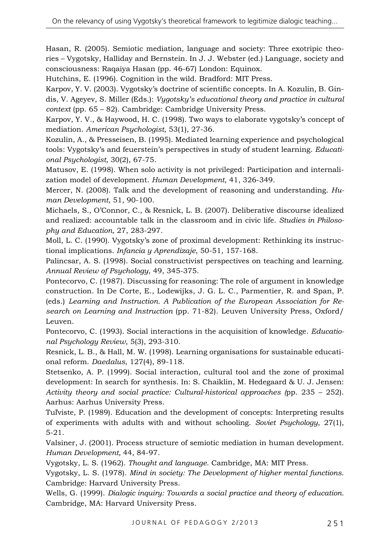Hasan, R. (2005). Semiotic mediation, language and society: Three exotripic theories – Vygotsky, Halliday and Bernstein. In J. J. Webster (ed.) Language, society and consciousness: Raqaiya Hasan (pp. 46-67) London: Equinox.

Hutchins, E. (1996). Cognition in the wild. Bradford: MIT Press.

Karpov, Y. V. (2003). Vygotsky's doctrine of scientific concepts. In A. Kozulin, B. Gindis, V. Ageyev, S. Miller (Eds.): *Vygotsky's educational theory and practice in cultural context* (pp. 65 – 82). Cambridge: Cambridge University Press.

Karpov, Y. V., & Haywood, H. C. (1998). Two ways to elaborate vygotsky's concept of mediation. *American Psychologist*, 53(1), 27-36.

Kozulin, A., & Presseisen, B. (1995). Mediated learning experience and psychological tools: Vygotsky's and feuerstein's perspectives in study of student learning. *Educational Psychologist,* 30(2), 67-75.

Matusov, E. (1998). When solo activity is not privileged: Participation and internalization model of development. *Human Development*, 41, 326-349.

Mercer, N. (2008). Talk and the development of reasoning and understanding. *Human Development*, 51, 90-100.

Michaels, S., O'Connor, C., & Resnick, L. B. (2007). Deliberative discourse idealized and realized: accountable talk in the classroom and in civic life. *Studies in Philosophy and Education*, 27, 283-297.

Moll, L. C. (1990). Vygotsky's zone of proximal development: Rethinking its instructional implications. *Infancia y Aprendizaje*, 50-51, 157-168.

Palincsar, A. S. (1998). Social constructivist perspectives on teaching and learning. *Annual Review of Psychology*, 49, 345-375.

Pontecorvo, C. (1987). Discussing for reasoning: The role of argument in knowledge construction. In De Corte, E., Lodewijks, J. G. L. C., Parmentier, R. and Span, P. (eds.) *Learning and Instruction. A Publication of the European Association for Research on Learning and Instruction* (pp. 71-82). Leuven University Press, Oxford/ Leuven.

Pontecorvo, C. (1993). Social interactions in the acquisition of knowledge. *Educational Psychology Review*, 5(3), 293-310.

Resnick, L. B., & Hall, M. W. (1998). Learning organisations for sustainable educational reform. *Daedalus*, 127(4), 89-118.

Stetsenko, A. P. (1999). Social interaction, cultural tool and the zone of proximal development: In search for synthesis. In: S. Chaiklin, M. Hedegaard & U. J. Jensen: *Activity theory and social practice: Cultural-historical approaches (*pp. 235 – 252). Aarhus: Aarhus University Press.

Tuľviste, P. (1989). Education and the development of concepts: Interpreting results of experiments with adults with and without schooling. *Soviet Psychology*, 27(1), 5-21.

Valsiner, J. (2001). Process structure of semiotic mediation in human development. *Human Development,* 44, 84-97.

Vygotsky, L. S. (1962). *Thought and language*. Cambridge, MA: MIT Press.

Vygotsky, L. S. (1978). *Mind in society: The Development of higher mental functions*. Cambridge: Harvard University Press.

Wells, G. (1999). *Dialogic inquiry: Towards a social practice and theory of education.* Cambridge, MA: Harvard University Press.